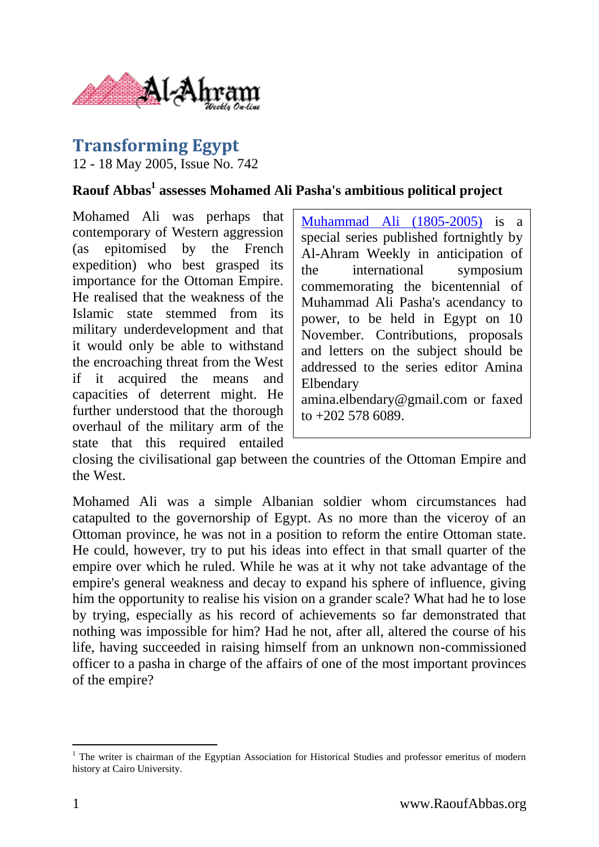

## **Transforming Egypt**

12 - 18 May 2005, Issue No. 742

## **Raouf Abbas<sup>1</sup> assesses Mohamed Ali Pasha's ambitious political project**

Mohamed Ali was perhaps that contemporary of Western aggression (as epitomised by the French expedition) who best grasped its importance for the Ottoman Empire. He realised that the weakness of the Islamic state stemmed from its military underdevelopment and that it would only be able to withstand the encroaching threat from the West if it acquired the means and capacities of deterrent might. He further understood that the thorough overhaul of the military arm of the state that this required entailed

[Muhammad Ali \(1805-2005\)](http://weekly.ahram.org.eg/2005/mhmdali.htm) is a special series published fortnightly by Al-Ahram Weekly in anticipation of the international symposium commemorating the bicentennial of Muhammad Ali Pasha's acendancy to power, to be held in Egypt on 10 November. Contributions, proposals and letters on the subject should be addressed to the series editor Amina Elbendary amina.elbendary@gmail.com or faxed

to  $+202$  578 6089.

closing the civilisational gap between the countries of the Ottoman Empire and the West.

Mohamed Ali was a simple Albanian soldier whom circumstances had catapulted to the governorship of Egypt. As no more than the viceroy of an Ottoman province, he was not in a position to reform the entire Ottoman state. He could, however, try to put his ideas into effect in that small quarter of the empire over which he ruled. While he was at it why not take advantage of the empire's general weakness and decay to expand his sphere of influence, giving him the opportunity to realise his vision on a grander scale? What had he to lose by trying, especially as his record of achievements so far demonstrated that nothing was impossible for him? Had he not, after all, altered the course of his life, having succeeded in raising himself from an unknown non-commissioned officer to a pasha in charge of the affairs of one of the most important provinces of the empire?

 $\overline{a}$ <sup>1</sup> The writer is chairman of the Egyptian Association for Historical Studies and professor emeritus of modern history at Cairo University.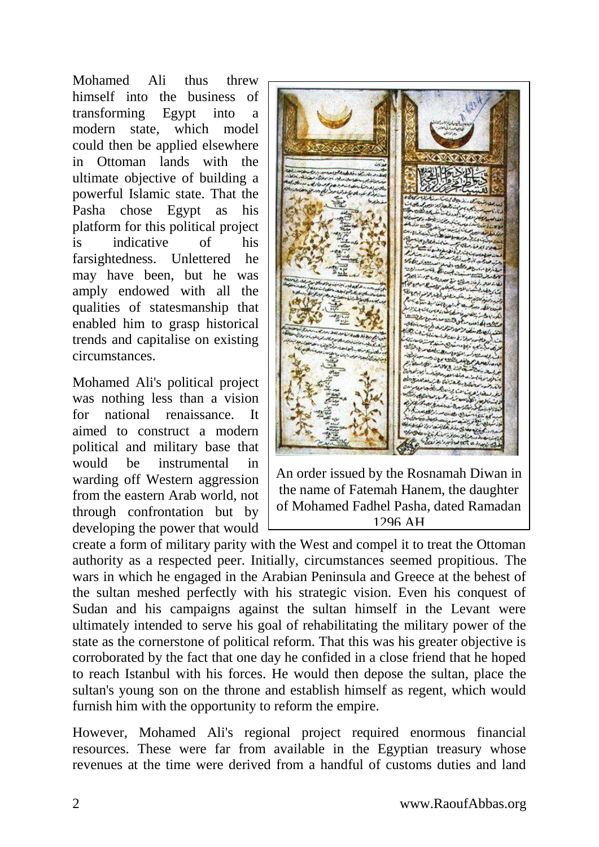Mohamed Ali thus threw himself into the business of transforming Egypt into a modern state, which model could then be applied elsewhere in Ottoman lands with the ultimate objective of building a powerful Islamic state. That the Pasha chose Egypt as his platform for this political project is indicative of his farsightedness. Unlettered he may have been, but he was amply endowed with all the qualities of statesmanship that enabled him to grasp historical trends and capitalise on existing circumstances.

Mohamed Ali's political project was nothing less than a vision for national renaissance. It aimed to construct a modern political and military base that would be instrumental in warding off Western aggression from the eastern Arab world, not through confrontation but by developing the power that would



An order issued by the Rosnamah Diwan in the name of Fatemah Hanem, the daughter of Mohamed Fadhel Pasha, dated Ramadan 1296 AH

create a form of military parity with the West and compel it to treat the Ottoman authority as a respected peer. Initially, circumstances seemed propitious. The wars in which he engaged in the Arabian Peninsula and Greece at the behest of the sultan meshed perfectly with his strategic vision. Even his conquest of Sudan and his campaigns against the sultan himself in the Levant were ultimately intended to serve his goal of rehabilitating the military power of the state as the cornerstone of political reform. That this was his greater objective is corroborated by the fact that one day he confided in a close friend that he hoped to reach Istanbul with his forces. He would then depose the sultan, place the sultan's young son on the throne and establish himself as regent, which would furnish him with the opportunity to reform the empire.

However, Mohamed Ali's regional project required enormous financial resources. These were far from available in the Egyptian treasury whose revenues at the time were derived from a handful of customs duties and land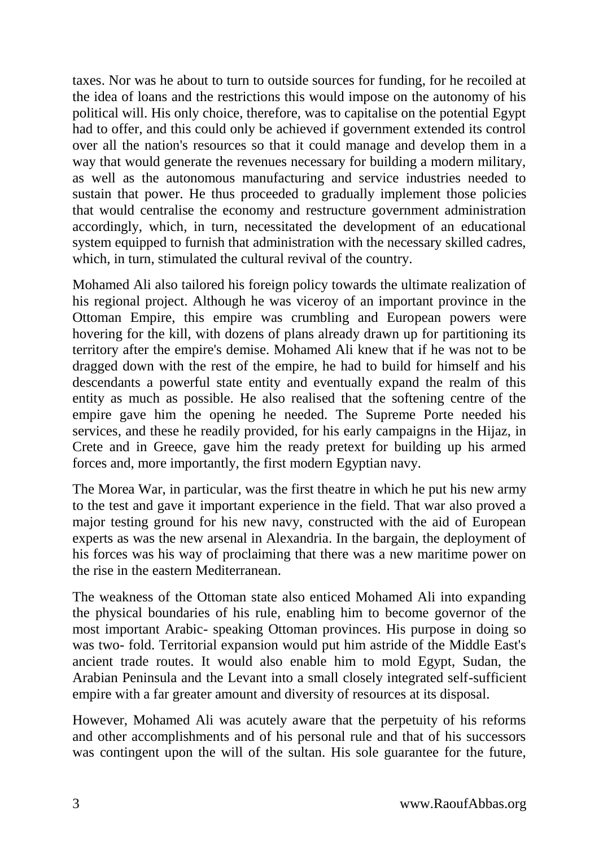taxes. Nor was he about to turn to outside sources for funding, for he recoiled at the idea of loans and the restrictions this would impose on the autonomy of his political will. His only choice, therefore, was to capitalise on the potential Egypt had to offer, and this could only be achieved if government extended its control over all the nation's resources so that it could manage and develop them in a way that would generate the revenues necessary for building a modern military, as well as the autonomous manufacturing and service industries needed to sustain that power. He thus proceeded to gradually implement those policies that would centralise the economy and restructure government administration accordingly, which, in turn, necessitated the development of an educational system equipped to furnish that administration with the necessary skilled cadres, which, in turn, stimulated the cultural revival of the country.

Mohamed Ali also tailored his foreign policy towards the ultimate realization of his regional project. Although he was viceroy of an important province in the Ottoman Empire, this empire was crumbling and European powers were hovering for the kill, with dozens of plans already drawn up for partitioning its territory after the empire's demise. Mohamed Ali knew that if he was not to be dragged down with the rest of the empire, he had to build for himself and his descendants a powerful state entity and eventually expand the realm of this entity as much as possible. He also realised that the softening centre of the empire gave him the opening he needed. The Supreme Porte needed his services, and these he readily provided, for his early campaigns in the Hijaz, in Crete and in Greece, gave him the ready pretext for building up his armed forces and, more importantly, the first modern Egyptian navy.

The Morea War, in particular, was the first theatre in which he put his new army to the test and gave it important experience in the field. That war also proved a major testing ground for his new navy, constructed with the aid of European experts as was the new arsenal in Alexandria. In the bargain, the deployment of his forces was his way of proclaiming that there was a new maritime power on the rise in the eastern Mediterranean.

The weakness of the Ottoman state also enticed Mohamed Ali into expanding the physical boundaries of his rule, enabling him to become governor of the most important Arabic- speaking Ottoman provinces. His purpose in doing so was two- fold. Territorial expansion would put him astride of the Middle East's ancient trade routes. It would also enable him to mold Egypt, Sudan, the Arabian Peninsula and the Levant into a small closely integrated self-sufficient empire with a far greater amount and diversity of resources at its disposal.

However, Mohamed Ali was acutely aware that the perpetuity of his reforms and other accomplishments and of his personal rule and that of his successors was contingent upon the will of the sultan. His sole guarantee for the future,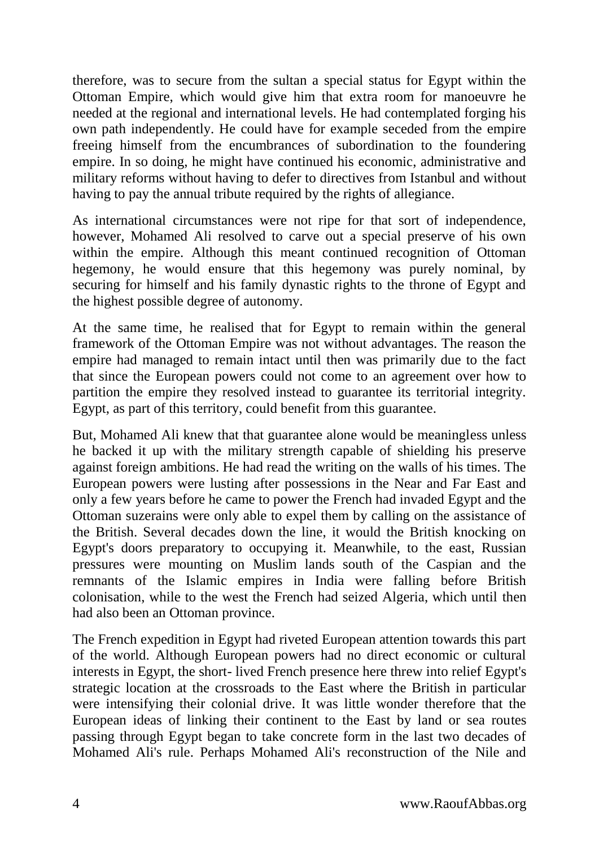therefore, was to secure from the sultan a special status for Egypt within the Ottoman Empire, which would give him that extra room for manoeuvre he needed at the regional and international levels. He had contemplated forging his own path independently. He could have for example seceded from the empire freeing himself from the encumbrances of subordination to the foundering empire. In so doing, he might have continued his economic, administrative and military reforms without having to defer to directives from Istanbul and without having to pay the annual tribute required by the rights of allegiance.

As international circumstances were not ripe for that sort of independence, however, Mohamed Ali resolved to carve out a special preserve of his own within the empire. Although this meant continued recognition of Ottoman hegemony, he would ensure that this hegemony was purely nominal, by securing for himself and his family dynastic rights to the throne of Egypt and the highest possible degree of autonomy.

At the same time, he realised that for Egypt to remain within the general framework of the Ottoman Empire was not without advantages. The reason the empire had managed to remain intact until then was primarily due to the fact that since the European powers could not come to an agreement over how to partition the empire they resolved instead to guarantee its territorial integrity. Egypt, as part of this territory, could benefit from this guarantee.

But, Mohamed Ali knew that that guarantee alone would be meaningless unless he backed it up with the military strength capable of shielding his preserve against foreign ambitions. He had read the writing on the walls of his times. The European powers were lusting after possessions in the Near and Far East and only a few years before he came to power the French had invaded Egypt and the Ottoman suzerains were only able to expel them by calling on the assistance of the British. Several decades down the line, it would the British knocking on Egypt's doors preparatory to occupying it. Meanwhile, to the east, Russian pressures were mounting on Muslim lands south of the Caspian and the remnants of the Islamic empires in India were falling before British colonisation, while to the west the French had seized Algeria, which until then had also been an Ottoman province.

The French expedition in Egypt had riveted European attention towards this part of the world. Although European powers had no direct economic or cultural interests in Egypt, the short- lived French presence here threw into relief Egypt's strategic location at the crossroads to the East where the British in particular were intensifying their colonial drive. It was little wonder therefore that the European ideas of linking their continent to the East by land or sea routes passing through Egypt began to take concrete form in the last two decades of Mohamed Ali's rule. Perhaps Mohamed Ali's reconstruction of the Nile and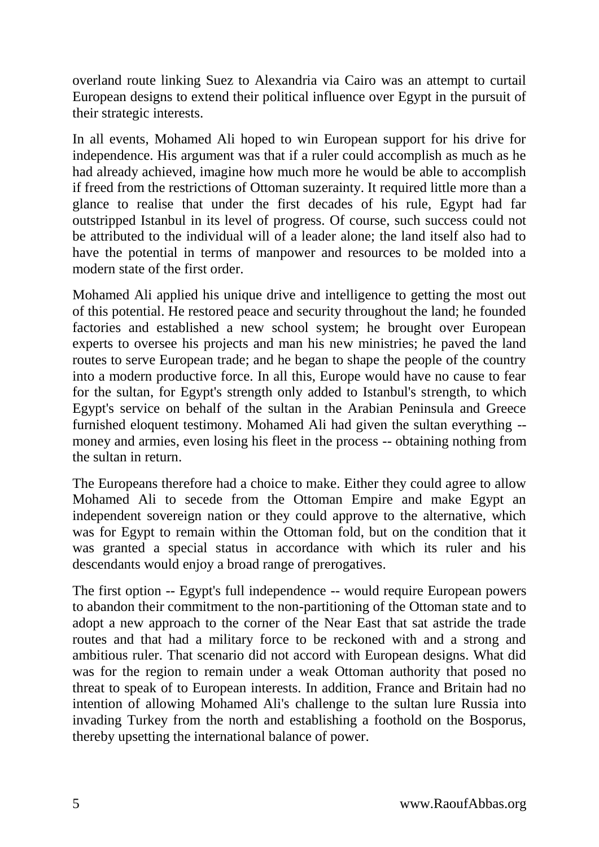overland route linking Suez to Alexandria via Cairo was an attempt to curtail European designs to extend their political influence over Egypt in the pursuit of their strategic interests.

In all events, Mohamed Ali hoped to win European support for his drive for independence. His argument was that if a ruler could accomplish as much as he had already achieved, imagine how much more he would be able to accomplish if freed from the restrictions of Ottoman suzerainty. It required little more than a glance to realise that under the first decades of his rule, Egypt had far outstripped Istanbul in its level of progress. Of course, such success could not be attributed to the individual will of a leader alone; the land itself also had to have the potential in terms of manpower and resources to be molded into a modern state of the first order.

Mohamed Ali applied his unique drive and intelligence to getting the most out of this potential. He restored peace and security throughout the land; he founded factories and established a new school system; he brought over European experts to oversee his projects and man his new ministries; he paved the land routes to serve European trade; and he began to shape the people of the country into a modern productive force. In all this, Europe would have no cause to fear for the sultan, for Egypt's strength only added to Istanbul's strength, to which Egypt's service on behalf of the sultan in the Arabian Peninsula and Greece furnished eloquent testimony. Mohamed Ali had given the sultan everything - money and armies, even losing his fleet in the process -- obtaining nothing from the sultan in return.

The Europeans therefore had a choice to make. Either they could agree to allow Mohamed Ali to secede from the Ottoman Empire and make Egypt an independent sovereign nation or they could approve to the alternative, which was for Egypt to remain within the Ottoman fold, but on the condition that it was granted a special status in accordance with which its ruler and his descendants would enjoy a broad range of prerogatives.

The first option -- Egypt's full independence -- would require European powers to abandon their commitment to the non-partitioning of the Ottoman state and to adopt a new approach to the corner of the Near East that sat astride the trade routes and that had a military force to be reckoned with and a strong and ambitious ruler. That scenario did not accord with European designs. What did was for the region to remain under a weak Ottoman authority that posed no threat to speak of to European interests. In addition, France and Britain had no intention of allowing Mohamed Ali's challenge to the sultan lure Russia into invading Turkey from the north and establishing a foothold on the Bosporus, thereby upsetting the international balance of power.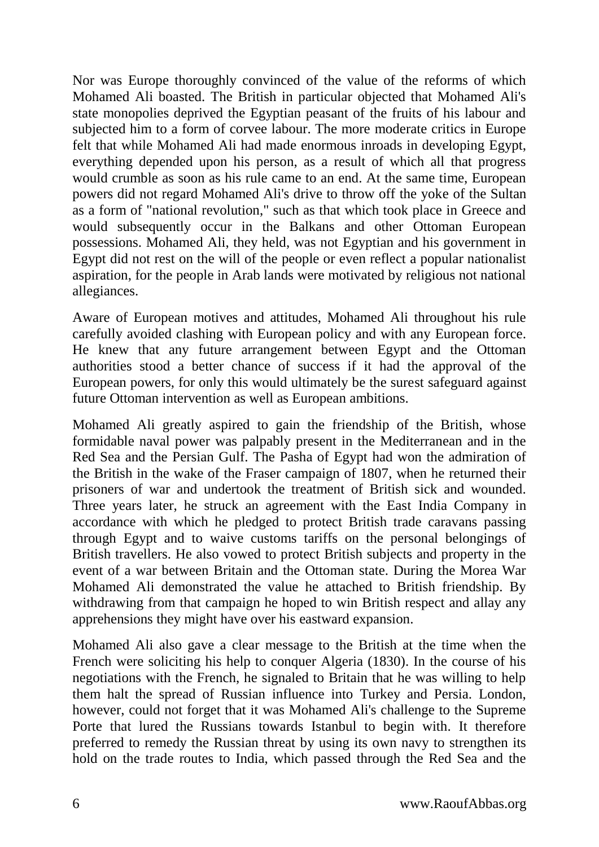Nor was Europe thoroughly convinced of the value of the reforms of which Mohamed Ali boasted. The British in particular objected that Mohamed Ali's state monopolies deprived the Egyptian peasant of the fruits of his labour and subjected him to a form of corvee labour. The more moderate critics in Europe felt that while Mohamed Ali had made enormous inroads in developing Egypt, everything depended upon his person, as a result of which all that progress would crumble as soon as his rule came to an end. At the same time, European powers did not regard Mohamed Ali's drive to throw off the yoke of the Sultan as a form of "national revolution," such as that which took place in Greece and would subsequently occur in the Balkans and other Ottoman European possessions. Mohamed Ali, they held, was not Egyptian and his government in Egypt did not rest on the will of the people or even reflect a popular nationalist aspiration, for the people in Arab lands were motivated by religious not national allegiances.

Aware of European motives and attitudes, Mohamed Ali throughout his rule carefully avoided clashing with European policy and with any European force. He knew that any future arrangement between Egypt and the Ottoman authorities stood a better chance of success if it had the approval of the European powers, for only this would ultimately be the surest safeguard against future Ottoman intervention as well as European ambitions.

Mohamed Ali greatly aspired to gain the friendship of the British, whose formidable naval power was palpably present in the Mediterranean and in the Red Sea and the Persian Gulf. The Pasha of Egypt had won the admiration of the British in the wake of the Fraser campaign of 1807, when he returned their prisoners of war and undertook the treatment of British sick and wounded. Three years later, he struck an agreement with the East India Company in accordance with which he pledged to protect British trade caravans passing through Egypt and to waive customs tariffs on the personal belongings of British travellers. He also vowed to protect British subjects and property in the event of a war between Britain and the Ottoman state. During the Morea War Mohamed Ali demonstrated the value he attached to British friendship. By withdrawing from that campaign he hoped to win British respect and allay any apprehensions they might have over his eastward expansion.

Mohamed Ali also gave a clear message to the British at the time when the French were soliciting his help to conquer Algeria (1830). In the course of his negotiations with the French, he signaled to Britain that he was willing to help them halt the spread of Russian influence into Turkey and Persia. London, however, could not forget that it was Mohamed Ali's challenge to the Supreme Porte that lured the Russians towards Istanbul to begin with. It therefore preferred to remedy the Russian threat by using its own navy to strengthen its hold on the trade routes to India, which passed through the Red Sea and the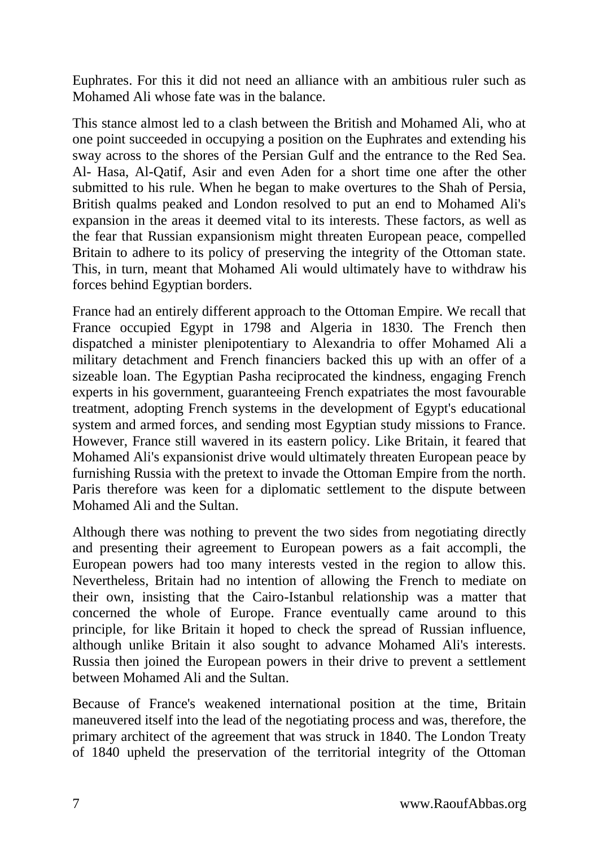Euphrates. For this it did not need an alliance with an ambitious ruler such as Mohamed Ali whose fate was in the balance.

This stance almost led to a clash between the British and Mohamed Ali, who at one point succeeded in occupying a position on the Euphrates and extending his sway across to the shores of the Persian Gulf and the entrance to the Red Sea. Al- Hasa, Al-Qatif, Asir and even Aden for a short time one after the other submitted to his rule. When he began to make overtures to the Shah of Persia, British qualms peaked and London resolved to put an end to Mohamed Ali's expansion in the areas it deemed vital to its interests. These factors, as well as the fear that Russian expansionism might threaten European peace, compelled Britain to adhere to its policy of preserving the integrity of the Ottoman state. This, in turn, meant that Mohamed Ali would ultimately have to withdraw his forces behind Egyptian borders.

France had an entirely different approach to the Ottoman Empire. We recall that France occupied Egypt in 1798 and Algeria in 1830. The French then dispatched a minister plenipotentiary to Alexandria to offer Mohamed Ali a military detachment and French financiers backed this up with an offer of a sizeable loan. The Egyptian Pasha reciprocated the kindness, engaging French experts in his government, guaranteeing French expatriates the most favourable treatment, adopting French systems in the development of Egypt's educational system and armed forces, and sending most Egyptian study missions to France. However, France still wavered in its eastern policy. Like Britain, it feared that Mohamed Ali's expansionist drive would ultimately threaten European peace by furnishing Russia with the pretext to invade the Ottoman Empire from the north. Paris therefore was keen for a diplomatic settlement to the dispute between Mohamed Ali and the Sultan.

Although there was nothing to prevent the two sides from negotiating directly and presenting their agreement to European powers as a fait accompli, the European powers had too many interests vested in the region to allow this. Nevertheless, Britain had no intention of allowing the French to mediate on their own, insisting that the Cairo-Istanbul relationship was a matter that concerned the whole of Europe. France eventually came around to this principle, for like Britain it hoped to check the spread of Russian influence, although unlike Britain it also sought to advance Mohamed Ali's interests. Russia then joined the European powers in their drive to prevent a settlement between Mohamed Ali and the Sultan.

Because of France's weakened international position at the time, Britain maneuvered itself into the lead of the negotiating process and was, therefore, the primary architect of the agreement that was struck in 1840. The London Treaty of 1840 upheld the preservation of the territorial integrity of the Ottoman